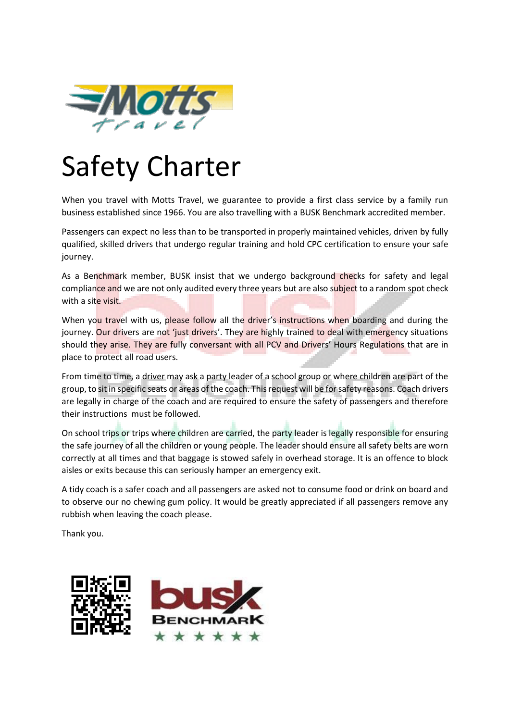

## Safety Charter

When you travel with Motts Travel, we guarantee to provide a first class service by a family run business established since 1966. You are also travelling with a BUSK Benchmark accredited member.

Passengers can expect no less than to be transported in properly maintained vehicles, driven by fully qualified, skilled drivers that undergo regular training and hold CPC certification to ensure your safe journey.

As a Benchmark member, BUSK insist that we undergo background checks for safety and legal compliance and we are not only audited every three years but are also subject to a random spot check with a site visit.

When you travel with us, please follow all the driver's instructions when boarding and during the journey. Our drivers are not 'just drivers'. They are highly trained to deal with emergency situations should they arise. They are fully conversant with all PCV and Drivers' Hours Regulations that are in place to protect all road users.

From time to time, a driver may ask a party leader of a school group or where children are part of the group, to sit in specific seats or areas of the coach. This request will be for safety reasons. Coach drivers are legally in charge of the coach and are required to ensure the safety of passengers and therefore their instructions must be followed.

On school trips or trips where children are carried, the party leader is legally responsible for ensuring the safe journey of all the children or young people. The leader should ensure all safety belts are worn correctly at all times and that baggage is stowed safely in overhead storage. It is an offence to block aisles or exits because this can seriously hamper an emergency exit.

A tidy coach is a safer coach and all passengers are asked not to consume food or drink on board and to observe our no chewing gum policy. It would be greatly appreciated if all passengers remove any rubbish when leaving the coach please.

Thank you.